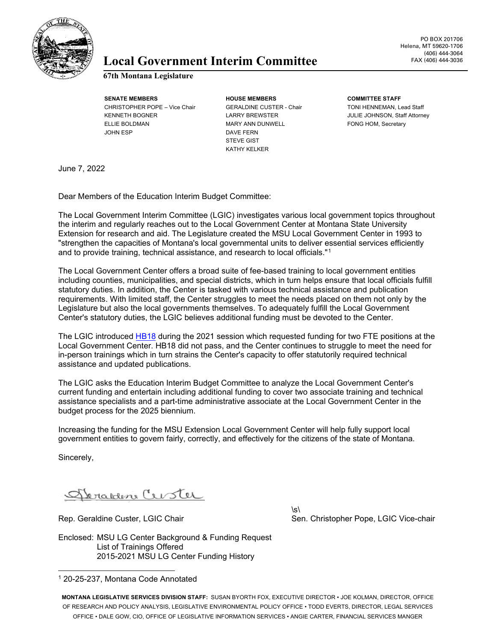

### Local Government Interim Committee FAX (406) 444-3036

**67th Montana Legislature**

**SENATE MEMBERS HOUSE MEMBERS COMMITTEE STAFF** CHRISTOPHER POPE – Vice Chair GERALDINE CUSTER - Chair TONI HENNEMAN, Lead Staff KENNETH BOGNER LARRY BREWSTER LARRY BREWSTER JULIE JOHNSON, Staff Attorney ELLIE BOLDMAN MARY ANN DUNWELL FONG HOM, Secretary JOHN ESP DAVE FERN

STEVE GIST KATHY KELKER

June 7, 2022

Dear Members of the Education Interim Budget Committee:

The Local Government Interim Committee (LGIC) investigates various local government topics throughout the interim and regularly reaches out to the Local Government Center at Montana State University Extension for research and aid. The Legislature created the MSU Local Government Center in 1993 to "strengthen the capacities of Montana's local governmental units to deliver essential services efficiently and to provide training, technical assistance, and research to local officials." [1](#page-0-0)

The Local Government Center offers a broad suite of fee-based training to local government entities including counties, municipalities, and special districts, which in turn helps ensure that local officials fulfill statutory duties. In addition, the Center is tasked with various technical assistance and publication requirements. With limited staff, the Center struggles to meet the needs placed on them not only by the Legislature but also the local governments themselves. To adequately fulfill the Local Government Center's statutory duties, the LGIC believes additional funding must be devoted to the Center.

The LGIC introduced [HB18](https://leg.mt.gov/bills/2021/billpdf/HB0018.pdf) during the 2021 session which requested funding for two FTE positions at the Local Government Center. HB18 did not pass, and the Center continues to struggle to meet the need for in-person trainings which in turn strains the Center's capacity to offer statutorily required technical assistance and updated publications.

The LGIC asks the Education Interim Budget Committee to analyze the Local Government Center's current funding and entertain including additional funding to cover two associate training and technical assistance specialists and a part-time administrative associate at the Local Government Center in the budget process for the 2025 biennium.

Increasing the funding for the MSU Extension Local Government Center will help fully support local government entities to govern fairly, correctly, and effectively for the citizens of the state of Montana.

Sincerely,

Abranden Custer

 $\sqrt{s}$ Rep. Geraldine Custer, LGIC Chair Sen. Christopher Pope, LGIC Vice-chair Sen. Christopher Pope, LGIC Vice-chair

Enclosed: MSU LG Center Background & Funding Request List of Trainings Offered 2015-2021 MSU LG Center Funding History

**MONTANA LEGISLATIVE SERVICES DIVISION STAFF:** SUSAN BYORTH FOX, EXECUTIVE DIRECTOR • JOE KOLMAN, DIRECTOR, OFFICE OF RESEARCH AND POLICY ANALYSIS, LEGISLATIVE ENVIRONMENTAL POLICY OFFICE • TODD EVERTS, DIRECTOR, LEGAL SERVICES OFFICE • DALE GOW, CIO, OFFICE OF LEGISLATIVE INFORMATION SERVICES • ANGIE CARTER, FINANCIAL SERVICES MANGER

<span id="page-0-0"></span><sup>1</sup> 20-25-237, Montana Code Annotated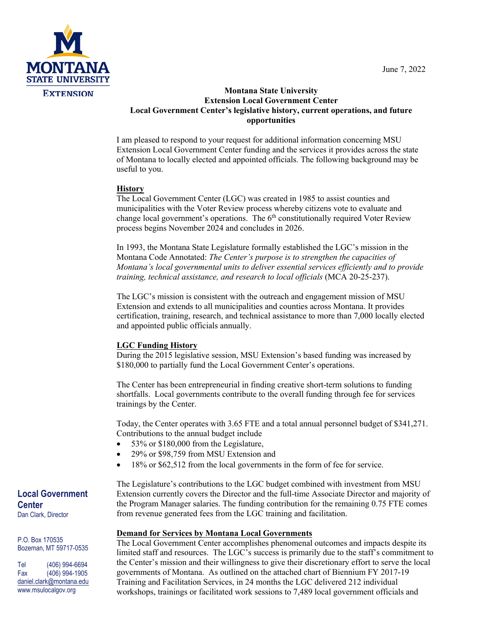June 7, 2022



#### **Montana State University Extension Local Government Center Local Government Center's legislative history, current operations, and future opportunities**

I am pleased to respond to your request for additional information concerning MSU Extension Local Government Center funding and the services it provides across the state of Montana to locally elected and appointed officials. The following background may be useful to you.

#### **History**

The Local Government Center (LGC) was created in 1985 to assist counties and municipalities with the Voter Review process whereby citizens vote to evaluate and change local government's operations. The  $6<sup>th</sup>$  constitutionally required Voter Review process begins November 2024 and concludes in 2026.

In 1993, the Montana State Legislature formally established the LGC's mission in the Montana Code Annotated: *The Center's purpose is to strengthen the capacities of Montana's local governmental units to deliver essential services efficiently and to provide training, technical assistance, and research to local officials* (MCA 20-25-237).

The LGC's mission is consistent with the outreach and engagement mission of MSU Extension and extends to all municipalities and counties across Montana. It provides certification, training, research, and technical assistance to more than 7,000 locally elected and appointed public officials annually.

### **LGC Funding History**

During the 2015 legislative session, MSU Extension's based funding was increased by \$180,000 to partially fund the Local Government Center's operations.

The Center has been entrepreneurial in finding creative short-term solutions to funding shortfalls. Local governments contribute to the overall funding through fee for services trainings by the Center.

Today, the Center operates with 3.65 FTE and a total annual personnel budget of \$341,271. Contributions to the annual budget include

- 53% or \$180,000 from the Legislature,
- 29% or \$98,759 from MSU Extension and
- 18% or \$62,512 from the local governments in the form of fee for service.

The Legislature's contributions to the LGC budget combined with investment from MSU Extension currently covers the Director and the full-time Associate Director and majority of the Program Manager salaries. The funding contribution for the remaining 0.75 FTE comes from revenue generated fees from the LGC training and facilitation.

#### **Demand for Services by Montana Local Governments**

The Local Government Center accomplishes phenomenal outcomes and impacts despite its limited staff and resources. The LGC's success is primarily due to the staff's commitment to the Center's mission and their willingness to give their discretionary effort to serve the local governments of Montana. As outlined on the attached chart of Biennium FY 2017-19 Training and Facilitation Services, in 24 months the LGC delivered 212 individual workshops, trainings or facilitated work sessions to 7,489 local government officials and

#### **Local Government Center** Dan Clark, Director

P.O. Box 170535 Bozeman, MT 59717-0535

Tel (406) 994-6694 Fax (406) 994-1905 [daniel.clark@montana.edu](mailto:daniel.clark@montana.edu) www.msulocalgov.org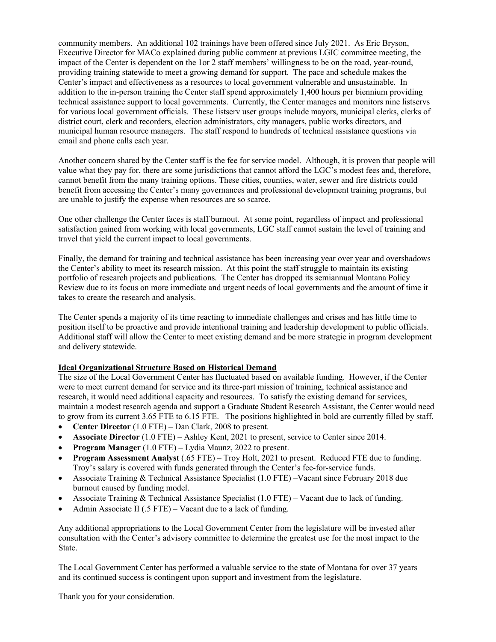community members. An additional 102 trainings have been offered since July 2021. As Eric Bryson, Executive Director for MACo explained during public comment at previous LGIC committee meeting, the impact of the Center is dependent on the 1or 2 staff members' willingness to be on the road, year-round, providing training statewide to meet a growing demand for support. The pace and schedule makes the Center's impact and effectiveness as a resources to local government vulnerable and unsustainable. In addition to the in-person training the Center staff spend approximately 1,400 hours per biennium providing technical assistance support to local governments. Currently, the Center manages and monitors nine listservs for various local government officials. These listserv user groups include mayors, municipal clerks, clerks of district court, clerk and recorders, election administrators, city managers, public works directors, and municipal human resource managers. The staff respond to hundreds of technical assistance questions via email and phone calls each year.

Another concern shared by the Center staff is the fee for service model. Although, it is proven that people will value what they pay for, there are some jurisdictions that cannot afford the LGC's modest fees and, therefore, cannot benefit from the many training options. These cities, counties, water, sewer and fire districts could benefit from accessing the Center's many governances and professional development training programs, but are unable to justify the expense when resources are so scarce.

One other challenge the Center faces is staff burnout. At some point, regardless of impact and professional satisfaction gained from working with local governments, LGC staff cannot sustain the level of training and travel that yield the current impact to local governments.

Finally, the demand for training and technical assistance has been increasing year over year and overshadows the Center's ability to meet its research mission. At this point the staff struggle to maintain its existing portfolio of research projects and publications. The Center has dropped its semiannual Montana Policy Review due to its focus on more immediate and urgent needs of local governments and the amount of time it takes to create the research and analysis.

The Center spends a majority of its time reacting to immediate challenges and crises and has little time to position itself to be proactive and provide intentional training and leadership development to public officials. Additional staff will allow the Center to meet existing demand and be more strategic in program development and delivery statewide.

#### **Ideal Organizational Structure Based on Historical Demand**

The size of the Local Government Center has fluctuated based on available funding. However, if the Center were to meet current demand for service and its three-part mission of training, technical assistance and research, it would need additional capacity and resources. To satisfy the existing demand for services, maintain a modest research agenda and support a Graduate Student Research Assistant, the Center would need to grow from its current 3.65 FTE to 6.15 FTE. The positions highlighted in bold are currently filled by staff.

- **Center Director** (1.0 FTE) Dan Clark, 2008 to present.
- **Associate Director** (1.0 FTE) Ashley Kent, 2021 to present, service to Center since 2014.
- **Program Manager** (1.0 FTE) Lydia Maunz, 2022 to present.
- **Program Assessment Analyst** (.65 FTE) Troy Holt, 2021 to present. Reduced FTE due to funding. Troy's salary is covered with funds generated through the Center's fee-for-service funds.
- Associate Training & Technical Assistance Specialist (1.0 FTE) –Vacant since February 2018 due burnout caused by funding model.
- Associate Training & Technical Assistance Specialist (1.0 FTE) Vacant due to lack of funding.
- Admin Associate II (.5 FTE) Vacant due to a lack of funding.

Any additional appropriations to the Local Government Center from the legislature will be invested after consultation with the Center's advisory committee to determine the greatest use for the most impact to the State.

The Local Government Center has performed a valuable service to the state of Montana for over 37 years and its continued success is contingent upon support and investment from the legislature.

Thank you for your consideration.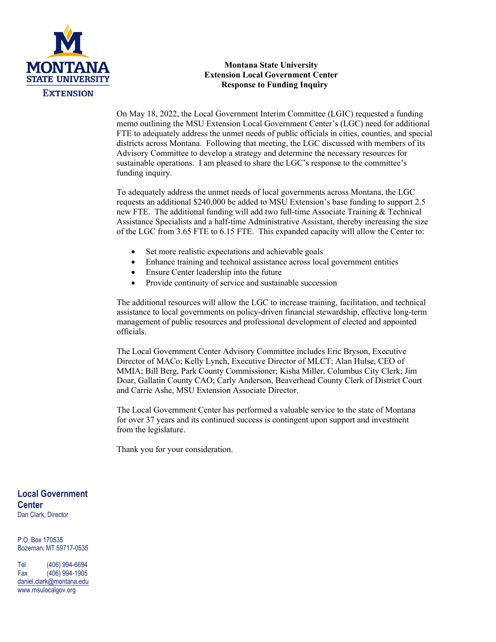

#### **Montana State University Extension Local Government Center Response to Funding Inquiry**

On May 18, 2022, the Local Government Interim Committee (LGIC) requested a funding memo outlining the MSU Extension Local Government Center's (LGC) need for additional FTE to adequately address the unmet needs of public officials in cities, counties, and special districts across Montana. Following that meeting, the LGC discussed with members of its Advisory Committee to develop a strategy and determine the necessary resources for sustainable operations. I am pleased to share the LGC's response to the committee's funding inquiry.

To adequately address the unmet needs of local governments across Montana, the LGC requests an additional \$240,000 be added to MSU Extension's base funding to support 2.5 new FTE. The additional funding will add two full-time Associate Training & Technical Assistance Specialists and a half-time Administrative Assistant, thereby increasing the size of the LGC from 3.65 FTE to 6.15 FTE. This expanded capacity will allow the Center to:

- Set more realistic expectations and achievable goals
- Enhance training and technical assistance across local government entities
- Ensure Center leadership into the future
- Provide continuity of service and sustainable succession

The additional resources will allow the LGC to increase training, facilitation, and technical assistance to local governments on policy-driven financial stewardship, effective long-term management of public resources and professional development of elected and appointed officials.

The Local Government Center Advisory Committee includes Eric Bryson, Executive Director of MACo; Kelly Lynch, Executive Director of MLCT; Alan Hulse, CEO of MMIA; Bill Berg, Park County Commissioner; Kisha Miller, Columbus City Clerk; Jim Doar, Gallatin County CAO; Carly Anderson, Beaverhead County Clerk of District Court and Carrie Ashe, MSU Extension Associate Director.

The Local Government Center has performed a valuable service to the state of Montana for over 37 years and its continued success is contingent upon support and investment from the legislature.

Thank you for your consideration.

**Local Government Center** Dan Clark, Director

P.O. Box 170535 Bozeman, MT 59717-0535

Tel (406) 994-6694 Fax (406) 994-1905 [daniel.clark@montana.edu](mailto:daniel.clark@montana.edu) www.msulocalgov.org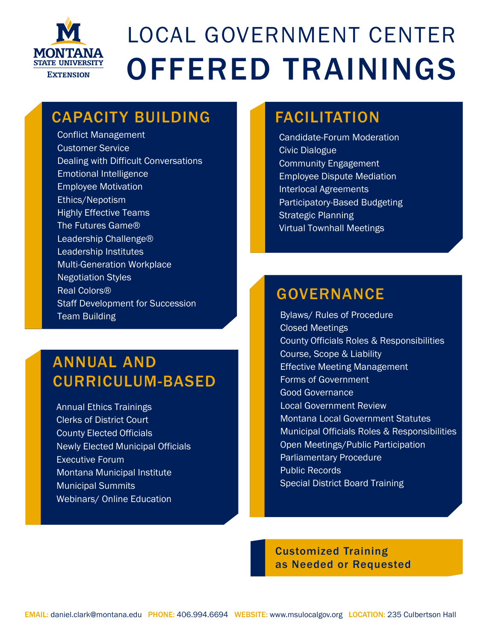

# LOCAL GOVERNMENT CENTER OFFERED TRAININGS

### CAPACITY BUILDING

Conflict Management Customer Service Dealing with Difficult Conversations Emotional Intelligence Employee Motivation Ethics/Nepotism Highly Effective Teams The Futures Game® Leadership Challenge® Leadership Institutes Multi-Generation Workplace Negotiation Styles Real Colors® Staff Development for Succession Team Building

### ANNUAL AND CURRICULUM-BASED

Annual Ethics Trainings Clerks of District Court County Elected Officials Newly Elected Municipal Officials Executive Forum Montana Municipal Institute Municipal Summits Webinars/ Online Education

### FACILITATION

Candidate-Forum Moderation Civic Dialogue Community Engagement Employee Dispute Mediation Interlocal Agreements Participatory-Based Budgeting Strategic Planning Virtual Townhall Meetings

## GOVERNANCE

Bylaws/ Rules of Procedure Closed Meetings County Officials Roles & Responsibilities Course, Scope & Liability Effective Meeting Management Forms of Government Good Governance Local Government Review Montana Local Government Statutes Municipal Officials Roles & Responsibilities Open Meetings/Public Participation Parliamentary Procedure Public Records Special District Board Training

Customized Training as Needed or Requested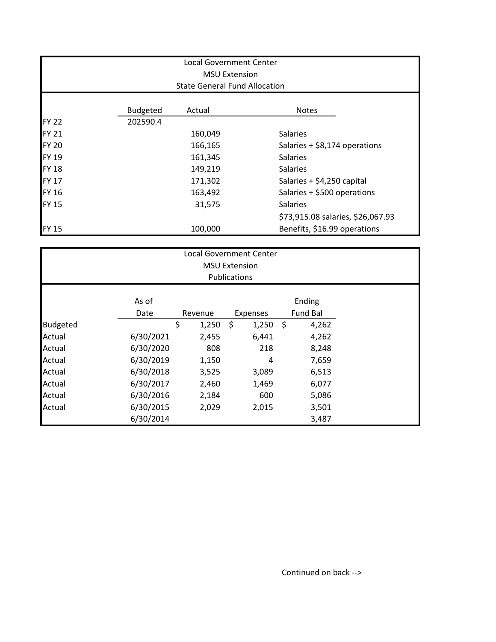| <b>Local Government Center</b>                               |                 |         |                                   |  |  |  |  |  |
|--------------------------------------------------------------|-----------------|---------|-----------------------------------|--|--|--|--|--|
| <b>MSU Extension</b><br><b>State General Fund Allocation</b> |                 |         |                                   |  |  |  |  |  |
|                                                              |                 |         |                                   |  |  |  |  |  |
|                                                              | <b>Budgeted</b> | Actual  | <b>Notes</b>                      |  |  |  |  |  |
| <b>FY 22</b>                                                 | 202590.4        |         |                                   |  |  |  |  |  |
| <b>FY 21</b>                                                 |                 | 160,049 | Salaries                          |  |  |  |  |  |
| <b>FY 20</b>                                                 |                 | 166,165 | Salaries + \$8,174 operations     |  |  |  |  |  |
| <b>FY 19</b>                                                 |                 | 161,345 | <b>Salaries</b>                   |  |  |  |  |  |
| <b>FY 18</b>                                                 |                 | 149,219 | <b>Salaries</b>                   |  |  |  |  |  |
| <b>FY 17</b>                                                 |                 | 171,302 | Salaries + \$4,250 capital        |  |  |  |  |  |
| <b>FY 16</b>                                                 |                 | 163,492 | Salaries + \$500 operations       |  |  |  |  |  |
| <b>FY 15</b>                                                 |                 | 31,575  | <b>Salaries</b>                   |  |  |  |  |  |
|                                                              |                 |         | \$73,915.08 salaries, \$26,067.93 |  |  |  |  |  |
| <b>FY 15</b>                                                 |                 | 100,000 | Benefits, \$16.99 operations      |  |  |  |  |  |

|                 | <b>Local Government Center</b>       |             |                 |                         |  |  |
|-----------------|--------------------------------------|-------------|-----------------|-------------------------|--|--|
|                 | <b>MSU Extension</b><br>Publications |             |                 |                         |  |  |
|                 | As of                                |             |                 | Ending                  |  |  |
|                 | Date                                 | Revenue     | <b>Expenses</b> | Fund Bal                |  |  |
| <b>Budgeted</b> |                                      | \$<br>1,250 | \$<br>1,250     | $\ddot{\zeta}$<br>4,262 |  |  |
| Actual          | 6/30/2021                            | 2,455       | 6,441           | 4,262                   |  |  |
| Actual          | 6/30/2020                            | 808         | 218             | 8,248                   |  |  |
| Actual          | 6/30/2019                            | 1,150       | 4               | 7,659                   |  |  |
| Actual          | 6/30/2018                            | 3,525       | 3,089           | 6,513                   |  |  |
| Actual          | 6/30/2017                            | 2,460       | 1,469           | 6,077                   |  |  |
| Actual          | 6/30/2016                            | 2,184       | 600             | 5,086                   |  |  |
| Actual          | 6/30/2015                            | 2,029       | 2,015           | 3,501                   |  |  |
|                 | 6/30/2014                            |             |                 | 3,487                   |  |  |